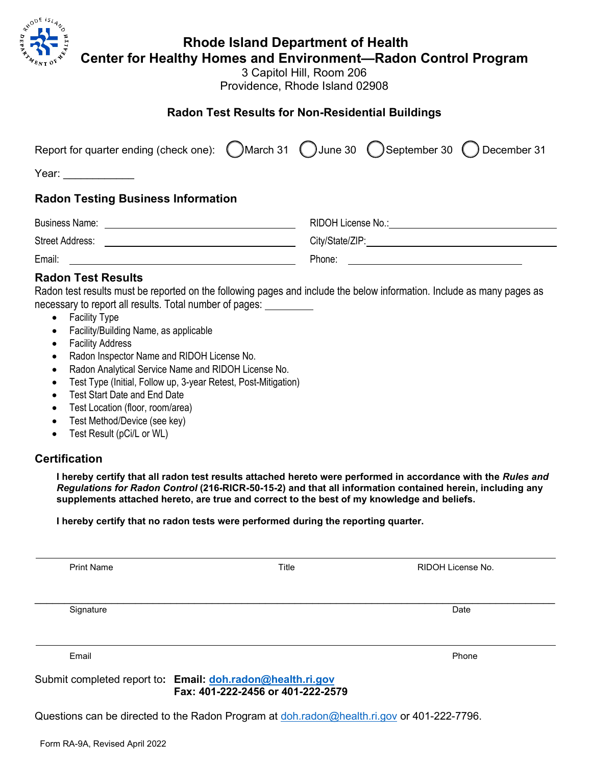

## **Rhode Island Department of Health**

**Center for Healthy Homes and Environment—Radon Control Program**

3 Capitol Hill, Room 206 Providence, Rhode Island 02908

## **Radon Test Results for Non-Residential Buildings**

| Report for quarter ending (check one): (March 31 () June 30 () September 30 () December 31 |  |                                          |
|--------------------------------------------------------------------------------------------|--|------------------------------------------|
| Year: __________                                                                           |  |                                          |
| <b>Radon Testing Business Information</b>                                                  |  |                                          |
|                                                                                            |  |                                          |
|                                                                                            |  | City/State/ZIP: New York City/State/ZIP: |
|                                                                                            |  |                                          |
| <b>Radon Test Results</b>                                                                  |  |                                          |

Radon test results must be reported on the following pages and include the below information. Include as many pages as necessary to report all results. Total number of pages:

- Facility Type
- Facility/Building Name, as applicable
- Facility Address
- Radon Inspector Name and RIDOH License No.
- Radon Analytical Service Name and RIDOH License No.
- Test Type (Initial, Follow up, 3-year Retest, Post-Mitigation)
- Test Start Date and End Date
- Test Location (floor, room/area)
- Test Method/Device (see key)
- Test Result (pCi/L or WL)

## **Certification**

**I hereby certify that all radon test results attached hereto were performed in accordance with the** *Rules and Regulations for Radon Control* **(216-RICR-50-15-2) and that all information contained herein, including any supplements attached hereto, are true and correct to the best of my knowledge and beliefs.**

**I hereby certify that no radon tests were performed during the reporting quarter.**

| <b>Print Name</b>                                          | Title                             | RIDOH License No. |
|------------------------------------------------------------|-----------------------------------|-------------------|
|                                                            |                                   |                   |
| Signature                                                  |                                   | Date              |
|                                                            |                                   |                   |
| Email                                                      |                                   | Phone             |
| Submit completed report to: Email: doh.radon@health.ri.gov | Fax: 401-222-2456 or 401-222-2579 |                   |

Questions can be directed to the Radon Program at [doh.radon@health.ri.gov](mailto:doh.radon@health.ri.gov) or 401-222-7796.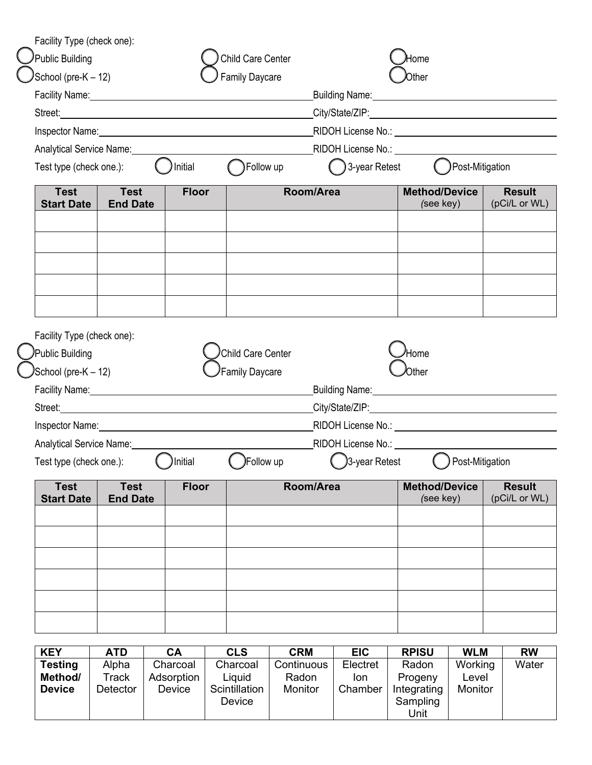| Facility Type (check one):       |                                                                                                                                                                                                                                      |              |                                                                                                                                                                                                                                |                                                                                                                                                                                                                                |                                   |                                |
|----------------------------------|--------------------------------------------------------------------------------------------------------------------------------------------------------------------------------------------------------------------------------------|--------------|--------------------------------------------------------------------------------------------------------------------------------------------------------------------------------------------------------------------------------|--------------------------------------------------------------------------------------------------------------------------------------------------------------------------------------------------------------------------------|-----------------------------------|--------------------------------|
| Public Building                  |                                                                                                                                                                                                                                      |              | <b>Child Care Center</b>                                                                                                                                                                                                       |                                                                                                                                                                                                                                | Home                              |                                |
| School (pre-K - 12)              |                                                                                                                                                                                                                                      |              | <b>Family Daycare</b>                                                                                                                                                                                                          |                                                                                                                                                                                                                                | Other                             |                                |
|                                  |                                                                                                                                                                                                                                      |              | Facility Name: Manual According to the Contract of the Contract of the Contract of the Contract of the Contract of the Contract of the Contract of the Contract of the Contract of the Contract of the Contract of the Contrac |                                                                                                                                                                                                                                |                                   |                                |
|                                  |                                                                                                                                                                                                                                      |              |                                                                                                                                                                                                                                | City/State/ZIP: Contract and Contract and Contract and Contract and Contract and Contract and Contract and Contract and Contract and Contract and Contract and Contract and Contract and Contract and Contract and Contract an |                                   |                                |
|                                  | Inspector Name: <u>contract and a series of the series of the series of the series of the series of the series of the series of the series of the series of the series of the series of the series of the series of the series o</u> |              |                                                                                                                                                                                                                                |                                                                                                                                                                                                                                |                                   |                                |
|                                  | Analytical Service Name:<br><u>Land Contract Control</u>                                                                                                                                                                             |              |                                                                                                                                                                                                                                |                                                                                                                                                                                                                                |                                   |                                |
| Test type (check one.):          |                                                                                                                                                                                                                                      | ) Initial    | Follow up                                                                                                                                                                                                                      | 3-year Retest                                                                                                                                                                                                                  | Post-Mitigation                   |                                |
| <b>Test</b><br><b>Start Date</b> | <b>Test</b><br><b>End Date</b>                                                                                                                                                                                                       | <b>Floor</b> | Room/Area                                                                                                                                                                                                                      |                                                                                                                                                                                                                                | <b>Method/Device</b><br>(see key) | <b>Result</b><br>(pCi/L or WL) |
|                                  |                                                                                                                                                                                                                                      |              |                                                                                                                                                                                                                                |                                                                                                                                                                                                                                |                                   |                                |
|                                  |                                                                                                                                                                                                                                      |              |                                                                                                                                                                                                                                |                                                                                                                                                                                                                                |                                   |                                |
| Facility Type (check one):       |                                                                                                                                                                                                                                      |              |                                                                                                                                                                                                                                |                                                                                                                                                                                                                                |                                   |                                |
| Public Building                  |                                                                                                                                                                                                                                      |              | Child Care Center                                                                                                                                                                                                              |                                                                                                                                                                                                                                | 'Home                             |                                |
| School (pre-K – 12)              |                                                                                                                                                                                                                                      |              | Family Daycare                                                                                                                                                                                                                 |                                                                                                                                                                                                                                | Aother                            |                                |
|                                  | Facility Name: 1997                                                                                                                                                                                                                  |              |                                                                                                                                                                                                                                | Building Name: Manual Account of the Building Name:                                                                                                                                                                            |                                   |                                |
|                                  |                                                                                                                                                                                                                                      |              |                                                                                                                                                                                                                                | City/State/ZIP: Contract Contract Contract Contract Contract Contract Contract Contract Contract Contract Contract Contract Contract Contract Contract Contract Contract Contract Contract Contract Contract Contract Contract |                                   |                                |
|                                  |                                                                                                                                                                                                                                      |              |                                                                                                                                                                                                                                |                                                                                                                                                                                                                                |                                   |                                |
| Analytical Service Name:         |                                                                                                                                                                                                                                      |              |                                                                                                                                                                                                                                | RIDOH License No.: No. 2000                                                                                                                                                                                                    |                                   |                                |
| Test type (check one.):          |                                                                                                                                                                                                                                      | )Initial     | Follow up                                                                                                                                                                                                                      | 3-year Retest                                                                                                                                                                                                                  | Post-Mitigation                   |                                |
| <b>Test</b><br><b>Start Date</b> | <b>Test</b><br><b>End Date</b>                                                                                                                                                                                                       | <b>Floor</b> |                                                                                                                                                                                                                                | Room/Area                                                                                                                                                                                                                      | <b>Method/Device</b><br>(see key) | <b>Result</b><br>(pCi/L or WL) |
|                                  |                                                                                                                                                                                                                                      |              |                                                                                                                                                                                                                                |                                                                                                                                                                                                                                |                                   |                                |
|                                  |                                                                                                                                                                                                                                      |              |                                                                                                                                                                                                                                |                                                                                                                                                                                                                                |                                   |                                |
|                                  |                                                                                                                                                                                                                                      |              |                                                                                                                                                                                                                                |                                                                                                                                                                                                                                |                                   |                                |
|                                  |                                                                                                                                                                                                                                      |              |                                                                                                                                                                                                                                |                                                                                                                                                                                                                                |                                   |                                |
|                                  |                                                                                                                                                                                                                                      |              |                                                                                                                                                                                                                                |                                                                                                                                                                                                                                |                                   |                                |
|                                  |                                                                                                                                                                                                                                      |              |                                                                                                                                                                                                                                |                                                                                                                                                                                                                                |                                   |                                |
|                                  |                                                                                                                                                                                                                                      |              |                                                                                                                                                                                                                                |                                                                                                                                                                                                                                |                                   |                                |
|                                  |                                                                                                                                                                                                                                      |              |                                                                                                                                                                                                                                |                                                                                                                                                                                                                                |                                   |                                |

| <b>KEY</b>     | <b>ATD</b> | CA         | <b>CLS</b>    | <b>CRM</b> | <b>EIC</b> | <b>RPISU</b> | <b>WLM</b> | <b>RW</b> |
|----------------|------------|------------|---------------|------------|------------|--------------|------------|-----------|
| <b>Testing</b> | Alpha      | Charcoal   | Charcoal      | Continuous | Electret   | Radon        | Working    | Water     |
| Method/        | Track      | Adsorption | Liquid        | Radon      | lon.       | Progeny      | Level      |           |
| <b>Device</b>  | Detector   | Device     | Scintillation | Monitor    | Chamber    | Integrating  | Monitor    |           |
|                |            |            | Device        |            |            | Sampling     |            |           |
|                |            |            |               |            |            | Unit         |            |           |